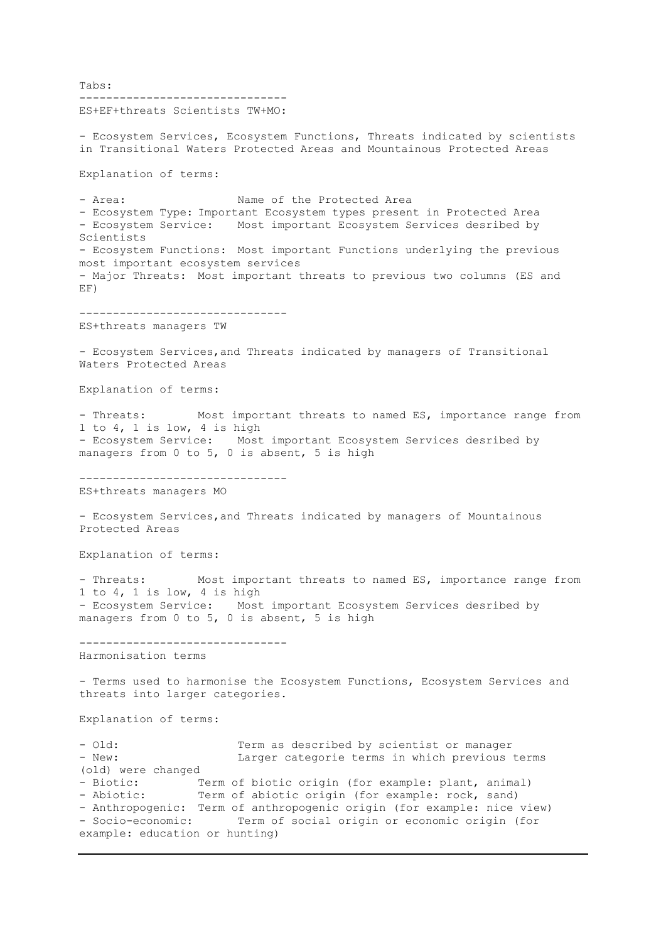Tabs: ------------------------------- ES+EF+threats Scientists TW+MO: - Ecosystem Services, Ecosystem Functions, Threats indicated by scientists in Transitional Waters Protected Areas and Mountainous Protected Areas Explanation of terms: - Area: Name of the Protected Area - Ecosystem Type: Important Ecosystem types present in Protected Area - Ecosystem Service: Most important Ecosystem Services desribed by Scientists - Ecosystem Functions: Most important Functions underlying the previous most important ecosystem services - Major Threats: Most important threats to previous two columns (ES and EF) ------------------------------- ES+threats managers TW - Ecosystem Services,and Threats indicated by managers of Transitional Waters Protected Areas Explanation of terms: - Threats: Most important threats to named ES, importance range from 1 to 4, 1 is low, 4 is high - Ecosystem Service: Most important Ecosystem Services desribed by managers from 0 to 5, 0 is absent, 5 is high ------------------------------- ES+threats managers MO - Ecosystem Services,and Threats indicated by managers of Mountainous Protected Areas Explanation of terms: - Threats: Most important threats to named ES, importance range from 1 to 4, 1 is low, 4 is high - Ecosystem Service: Most important Ecosystem Services desribed by managers from 0 to 5, 0 is absent, 5 is high ------------------------------- Harmonisation terms - Terms used to harmonise the Ecosystem Functions, Ecosystem Services and threats into larger categories. Explanation of terms: - Old: Term as described by scientist or manager - New: Larger categorie terms in which previous terms (old) were changed - Biotic: Term of biotic origin (for example: plant, animal) - Abiotic: Term of abiotic origin (for example: rock, sand) - Anthropogenic: Term of anthropogenic origin (for example: nice view) - Socio-economic: Term of social origin or economic origin (for example: education or hunting)